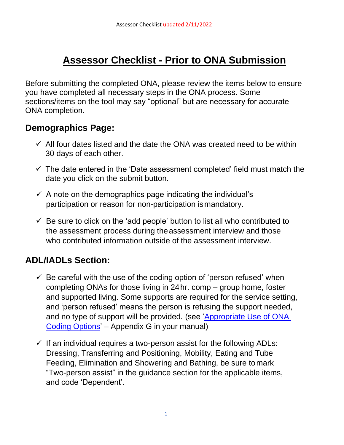# **Assessor Checklist - Prior to ONA Submission**

Before submitting the completed ONA, please review the items below to ensure you have completed all necessary steps in the ONA process. Some sections/items on the tool may say "optional" but are necessary for accurate ONA completion.

#### **Demographics Page:**

- $\checkmark$  All four dates listed and the date the ONA was created need to be within 30 days of each other.
- $\checkmark$  The date entered in the 'Date assessment completed' field must match the date you click on the submit button.
- $\checkmark$  A note on the demographics page indicating the individual's participation or reason for non-participation ismandatory.
- $\checkmark$  Be sure to click on the 'add people' button to list all who contributed to the assessment process during theassessment interview and those who contributed information outside of the assessment interview.

## **ADL/IADLs Section:**

- $\checkmark$  Be careful with the use of the coding option of 'person refused' when completing ONAs for those living in 24hr. comp – group home, foster and supported living. Some supports are required for the service setting, and 'person refused' means the person is refusing the support needed, and no type of support will be provided. (see 'Appropriate Use of ONA [Coding Options'](https://www.oregon.gov/dhs/Compass-Project/Documents/Appropriate-Use-of-ONA-Coding-Options.pdf) – Appendix G in your manual)
- $\checkmark$  If an individual requires a two-person assist for the following ADLs: Dressing, Transferring and Positioning, Mobility, Eating and Tube Feeding, Elimination and Showering and Bathing, be sure tomark "Two-person assist" in the guidance section for the applicable items, and code 'Dependent'.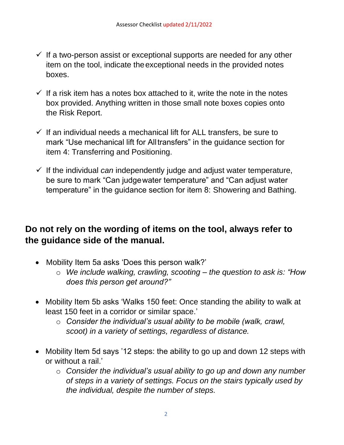- $\checkmark$  If a two-person assist or exceptional supports are needed for any other item on the tool, indicate theexceptional needs in the provided notes boxes.
- $\checkmark$  If a risk item has a notes box attached to it, write the note in the notes box provided. Anything written in those small note boxes copies onto the Risk Report.
- $\checkmark$  If an individual needs a mechanical lift for ALL transfers, be sure to mark "Use mechanical lift for Alltransfers" in the guidance section for item 4: Transferring and Positioning.
- ✓ If the individual *can* independently judge and adjust water temperature, be sure to mark "Can judgewater temperature" and "Can adjust water temperature" in the guidance section for item 8: Showering and Bathing.

#### **Do not rely on the wording of items on the tool, always refer to the guidance side of the manual.**

- Mobility Item 5a asks 'Does this person walk?'
	- o *We include walking, crawling, scooting – the question to ask is: "How does this person get around?"*
- Mobility Item 5b asks 'Walks 150 feet: Once standing the ability to walk at least 150 feet in a corridor or similar space.'
	- o *Consider the individual's usual ability to be mobile (walk, crawl, scoot) in a variety of settings, regardless of distance.*
- Mobility Item 5d says '12 steps: the ability to go up and down 12 steps with or without a rail.'
	- o *Consider the individual's usual ability to go up and down any number of steps in a variety of settings. Focus on the stairs typically used by the individual, despite the number of steps.*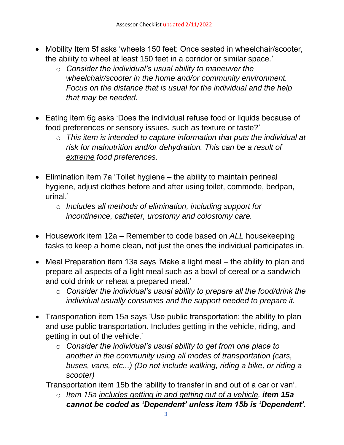- Mobility Item 5f asks 'wheels 150 feet: Once seated in wheelchair/scooter, the ability to wheel at least 150 feet in a corridor or similar space.'
	- o *Consider the individual's usual ability to maneuver the wheelchair/scooter in the home and/or community environment. Focus on the distance that is usual for the individual and the help that may be needed.*
- Eating item 6g asks 'Does the individual refuse food or liquids because of food preferences or sensory issues, such as texture or taste?'
	- o *This item is intended to capture information that puts the individual at risk for malnutrition and/or dehydration. This can be a result of extreme food preferences.*
- Elimination item 7a 'Toilet hygiene the ability to maintain perineal hygiene, adjust clothes before and after using toilet, commode, bedpan, urinal.'
	- o *Includes all methods of elimination, including support for incontinence, catheter, urostomy and colostomy care.*
- Housework item 12a Remember to code based on *ALL* housekeeping tasks to keep a home clean, not just the ones the individual participates in.
- Meal Preparation item 13a says 'Make a light meal the ability to plan and prepare all aspects of a light meal such as a bowl of cereal or a sandwich and cold drink or reheat a prepared meal.'
	- o *Consider the individual's usual ability to prepare all the food/drink the individual usually consumes and the support needed to prepare it.*
- Transportation item 15a says 'Use public transportation: the ability to plan and use public transportation. Includes getting in the vehicle, riding, and getting in out of the vehicle.'
	- o *Consider the individual's usual ability to get from one place to another in the community using all modes of transportation (cars, buses, vans, etc...) (Do not include walking, riding a bike, or riding a scooter)*

Transportation item 15b the 'ability to transfer in and out of a car or van'.

o *Item 15a includes getting in and getting out of a vehicle, item 15a cannot be coded as 'Dependent' unless item 15b is 'Dependent'.*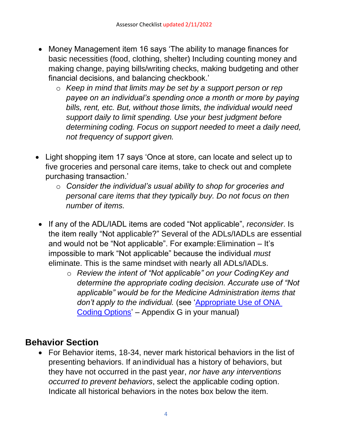- Money Management item 16 says 'The ability to manage finances for basic necessities (food, clothing, shelter) Including counting money and making change, paying bills/writing checks, making budgeting and other financial decisions, and balancing checkbook.'
	- o *Keep in mind that limits may be set by a support person or rep payee on an individual's spending once a month or more by paying bills, rent, etc. But, without those limits, the individual would need support daily to limit spending. Use your best judgment before determining coding. Focus on support needed to meet a daily need, not frequency of support given.*
- Light shopping item 17 says 'Once at store, can locate and select up to five groceries and personal care items, take to check out and complete purchasing transaction.'
	- o *Consider the individual's usual ability to shop for groceries and personal care items that they typically buy. Do not focus on then number of items.*
- If any of the ADL/IADL items are coded "Not applicable", *reconsider*. Is the item really "Not applicable?" Several of the ADLs/IADLs are essential and would not be "Not applicable". For example:Elimination – It's impossible to mark "Not applicable" because the individual *must*  eliminate. This is the same mindset with nearly all ADLs/IADLs.
	- o *Review the intent of "Not applicable" on your CodingKey and determine the appropriate coding decision. Accurate use of "Not applicable" would be for the Medicine Administration items that don't apply to the individual.* (see ['Appropriate Use of ONA](https://www.oregon.gov/dhs/Compass-Project/Documents/Appropriate-Use-of-ONA-Coding-Options.pdf)  [Coding Options'](https://www.oregon.gov/dhs/Compass-Project/Documents/Appropriate-Use-of-ONA-Coding-Options.pdf) – Appendix G in your manual)

#### **Behavior Section**

• For Behavior items, 18-34, never mark historical behaviors in the list of presenting behaviors. If anindividual has a history of behaviors, but they have not occurred in the past year, *nor have any interventions occurred to prevent behaviors*, select the applicable coding option. Indicate all historical behaviors in the notes box below the item.